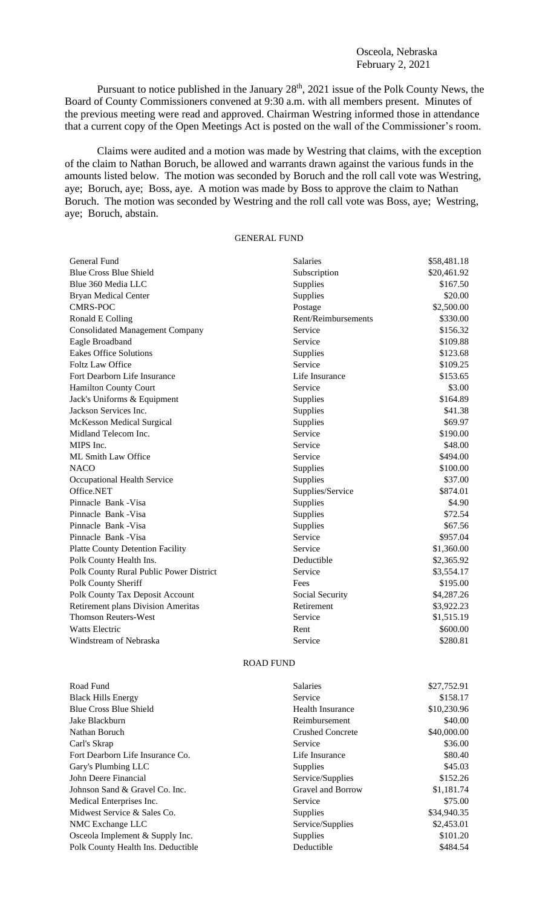## Osceola, Nebraska February 2, 2021

Pursuant to notice published in the January  $28<sup>th</sup>$ ,  $2021$  issue of the Polk County News, the Board of County Commissioners convened at 9:30 a.m. with all members present. Minutes of the previous meeting were read and approved. Chairman Westring informed those in attendance that a current copy of the Open Meetings Act is posted on the wall of the Commissioner's room.

Claims were audited and a motion was made by Westring that claims, with the exception of the claim to Nathan Boruch, be allowed and warrants drawn against the various funds in the amounts listed below. The motion was seconded by Boruch and the roll call vote was Westring, aye; Boruch, aye; Boss, aye. A motion was made by Boss to approve the claim to Nathan Boruch. The motion was seconded by Westring and the roll call vote was Boss, aye; Westring, aye; Boruch, abstain.

## GENERAL FUND

| General Fund                              | <b>Salaries</b>     | \$58,481.18 |
|-------------------------------------------|---------------------|-------------|
| <b>Blue Cross Blue Shield</b>             | Subscription        | \$20,461.92 |
| Blue 360 Media LLC                        | Supplies            | \$167.50    |
| <b>Bryan Medical Center</b>               | Supplies            | \$20.00     |
| <b>CMRS-POC</b>                           | Postage             | \$2,500.00  |
| Ronald E Colling                          | Rent/Reimbursements | \$330.00    |
| <b>Consolidated Management Company</b>    | Service             | \$156.32    |
| Eagle Broadband                           | Service             | \$109.88    |
| <b>Eakes Office Solutions</b>             | Supplies            | \$123.68    |
| <b>Foltz Law Office</b>                   | Service             | \$109.25    |
| Fort Dearborn Life Insurance              | Life Insurance      | \$153.65    |
| Hamilton County Court                     | Service             | \$3.00      |
| Jack's Uniforms & Equipment               | Supplies            | \$164.89    |
| Jackson Services Inc.                     | Supplies            | \$41.38     |
| McKesson Medical Surgical                 | Supplies            | \$69.97     |
| Midland Telecom Inc.                      | Service             | \$190.00    |
| MIPS Inc.                                 | Service             | \$48.00     |
| ML Smith Law Office                       | Service             | \$494.00    |
| <b>NACO</b>                               | Supplies            | \$100.00    |
| Occupational Health Service               | Supplies            | \$37.00     |
| Office.NET                                | Supplies/Service    | \$874.01    |
| Pinnacle Bank - Visa                      | Supplies            | \$4.90      |
| Pinnacle Bank - Visa                      | Supplies            | \$72.54     |
| Pinnacle Bank - Visa                      | Supplies            | \$67.56     |
| Pinnacle Bank - Visa                      | Service             | \$957.04    |
| <b>Platte County Detention Facility</b>   | Service             | \$1,360.00  |
| Polk County Health Ins.                   | Deductible          | \$2,365.92  |
| Polk County Rural Public Power District   | Service             | \$3,554.17  |
| Polk County Sheriff                       | Fees                | \$195.00    |
| Polk County Tax Deposit Account           | Social Security     | \$4,287.26  |
| <b>Retirement plans Division Ameritas</b> | Retirement          | \$3,922.23  |
| <b>Thomson Reuters-West</b>               | Service             | \$1,515.19  |
| <b>Watts Electric</b>                     | Rent                | \$600.00    |
| Windstream of Nebraska                    | Service             | \$280.81    |

## ROAD FUND

| Road Fund                          | <b>Salaries</b>         | \$27,752.91 |
|------------------------------------|-------------------------|-------------|
| <b>Black Hills Energy</b>          | Service                 | \$158.17    |
| <b>Blue Cross Blue Shield</b>      | <b>Health Insurance</b> | \$10,230.96 |
| Jake Blackburn                     | Reimbursement           | \$40.00     |
| Nathan Boruch                      | <b>Crushed Concrete</b> | \$40,000.00 |
| Carl's Skrap                       | Service                 | \$36.00     |
| Fort Dearborn Life Insurance Co.   | Life Insurance          | \$80.40     |
| Gary's Plumbing LLC                | Supplies                | \$45.03     |
| John Deere Financial               | Service/Supplies        | \$152.26    |
| Johnson Sand & Gravel Co. Inc.     | Gravel and Borrow       | \$1,181.74  |
| Medical Enterprises Inc.           | Service                 | \$75.00     |
| Midwest Service & Sales Co.        | Supplies                | \$34,940.35 |
| NMC Exchange LLC                   | Service/Supplies        | \$2,453.01  |
| Osceola Implement & Supply Inc.    | <b>Supplies</b>         | \$101.20    |
| Polk County Health Ins. Deductible | Deductible              | \$484.54    |
|                                    |                         |             |